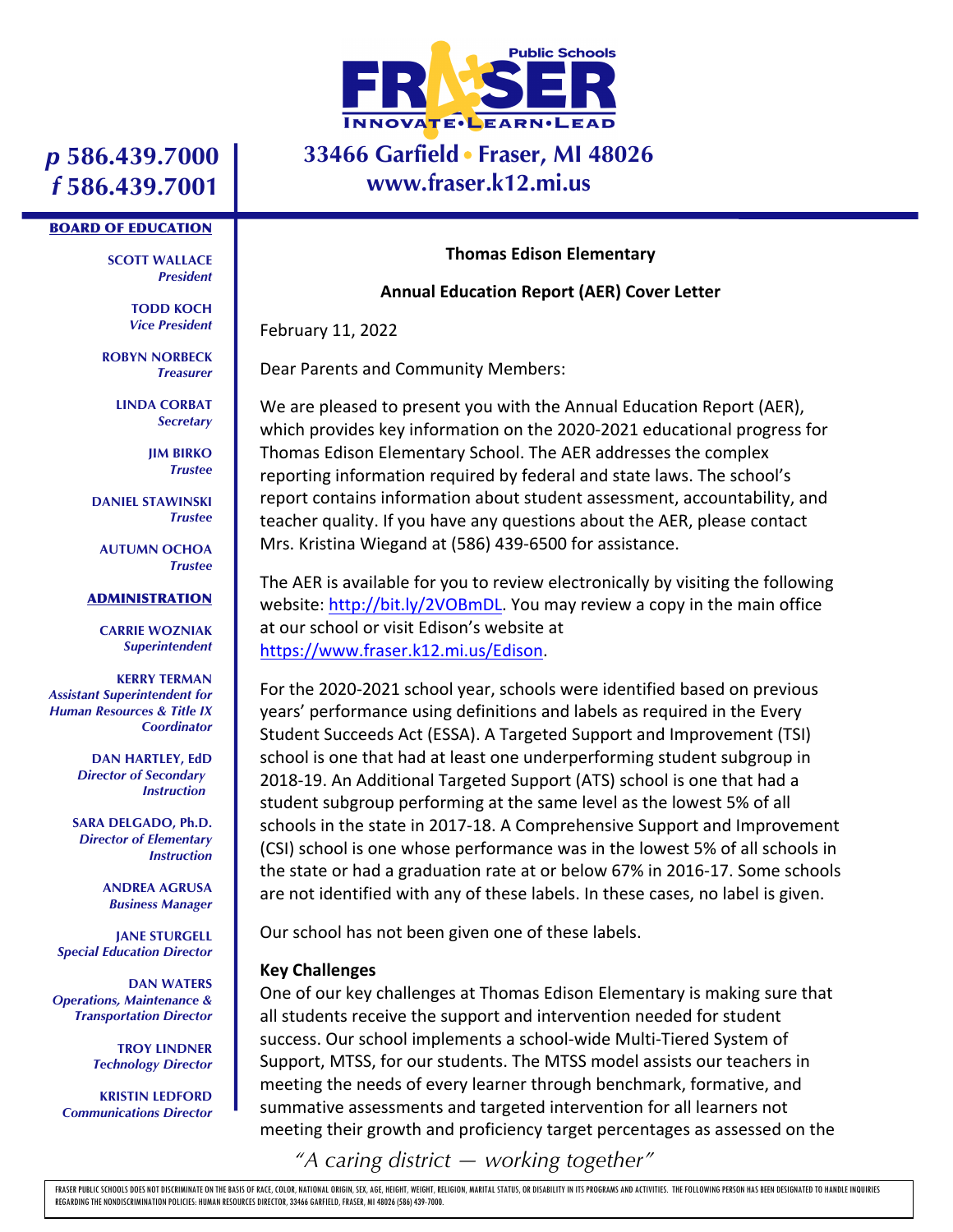

## **33466 Garfield Fraser, MI 48026 www.fraser.k12.mi.us**

## *p* **586.439.7000** *f* **586.439.7001**

#### BOARD OF EDUCATION

**SCOTT WALLACE** *President*

> **TODD KOCH** *Vice President*

**ROBYN NORBECK** *Treasurer*

> **LINDA CORBAT** *Secretary*

> > **JIM BIRKO** *Trustee*

**DANIEL STAWINSKI** *Trustee*

**AUTUMN OCHOA** *Trustee*

#### ADMINISTRATION

**CARRIE WOZNIAK** *Superintendent*

**KERRY TERMAN** *Assistant Superintendent for Human Resources & Title IX Coordinator*

> **DAN HARTLEY, EdD** *Director of Secondary Instruction*

**SARA DELGADO, Ph.D.** *Director of Elementary Instruction*

> **ANDREA AGRUSA** *Business Manager*

**JANE STURGELL** *Special Education Director*

**DAN WATERS** *Operations, Maintenance & Transportation Director*

> **TROY LINDNER** *Technology Director*

**KRISTIN LEDFORD** *Communications Director*

#### **Thomas Edison Elementary**

#### **Annual Education Report (AER) Cover Letter**

February 11, 2022

Dear Parents and Community Members:

We are pleased to present you with the Annual Education Report (AER), which provides key information on the 2020-2021 educational progress for Thomas Edison Elementary School. The AER addresses the complex reporting information required by federal and state laws. The school's report contains information about student assessment, accountability, and teacher quality. If you have any questions about the AER, please contact Mrs. Kristina Wiegand at (586) 439-6500 for assistance.

The AER is available for you to review electronically by visiting the following website: http://bit.ly/2VOBmDL. You may review a copy in the main office at our school or visit Edison's website at https://www.fraser.k12.mi.us/Edison.

For the 2020-2021 school year, schools were identified based on previous years' performance using definitions and labels as required in the Every Student Succeeds Act (ESSA). A Targeted Support and Improvement (TSI) school is one that had at least one underperforming student subgroup in 2018-19. An Additional Targeted Support (ATS) school is one that had a student subgroup performing at the same level as the lowest 5% of all schools in the state in 2017-18. A Comprehensive Support and Improvement (CSI) school is one whose performance was in the lowest 5% of all schools in the state or had a graduation rate at or below 67% in 2016-17. Some schools are not identified with any of these labels. In these cases, no label is given.

Our school has not been given one of these labels.

### **Key Challenges**

One of our key challenges at Thomas Edison Elementary is making sure that all students receive the support and intervention needed for student success. Our school implements a school-wide Multi-Tiered System of Support, MTSS, for our students. The MTSS model assists our teachers in meeting the needs of every learner through benchmark, formative, and summative assessments and targeted intervention for all learners not meeting their growth and proficiency target percentages as assessed on the

*"A caring district — working together"*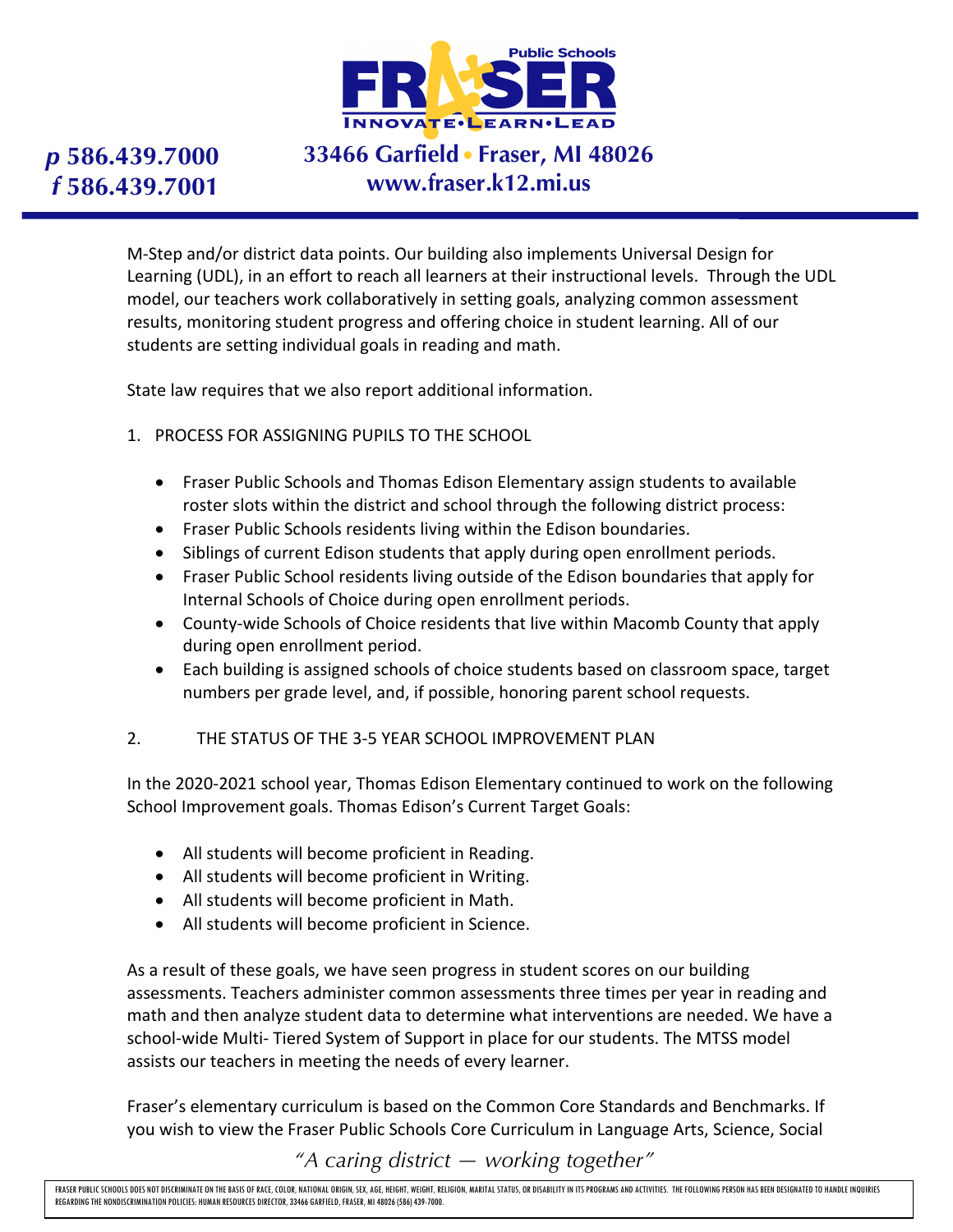

# **33466 Garfield Fraser, MI 48026 www.fraser.k12.mi.us**

M-Step and/or district data points. Our building also implements Universal Design for Learning (UDL), in an effort to reach all learners at their instructional levels. Through the UDL model, our teachers work collaboratively in setting goals, analyzing common assessment results, monitoring student progress and offering choice in student learning. All of our students are setting individual goals in reading and math.

State law requires that we also report additional information.

- 1. PROCESS FOR ASSIGNING PUPILS TO THE SCHOOL
	- Fraser Public Schools and Thomas Edison Elementary assign students to available roster slots within the district and school through the following district process:
	- Fraser Public Schools residents living within the Edison boundaries.
	- Siblings of current Edison students that apply during open enrollment periods.
	- Fraser Public School residents living outside of the Edison boundaries that apply for Internal Schools of Choice during open enrollment periods.
	- County-wide Schools of Choice residents that live within Macomb County that apply during open enrollment period.
	- Each building is assigned schools of choice students based on classroom space, target numbers per grade level, and, if possible, honoring parent school requests.

### 2. THE STATUS OF THE 3-5 YEAR SCHOOL IMPROVEMENT PLAN

In the 2020-2021 school year, Thomas Edison Elementary continued to work on the following School Improvement goals. Thomas Edison's Current Target Goals:

- All students will become proficient in Reading.
- All students will become proficient in Writing.
- All students will become proficient in Math.
- All students will become proficient in Science.

As a result of these goals, we have seen progress in student scores on our building assessments. Teachers administer common assessments three times per year in reading and math and then analyze student data to determine what interventions are needed. We have a school-wide Multi- Tiered System of Support in place for our students. The MTSS model assists our teachers in meeting the needs of every learner.

Fraser's elementary curriculum is based on the Common Core Standards and Benchmarks. If you wish to view the Fraser Public Schools Core Curriculum in Language Arts, Science, Social

*"A caring district — working together"*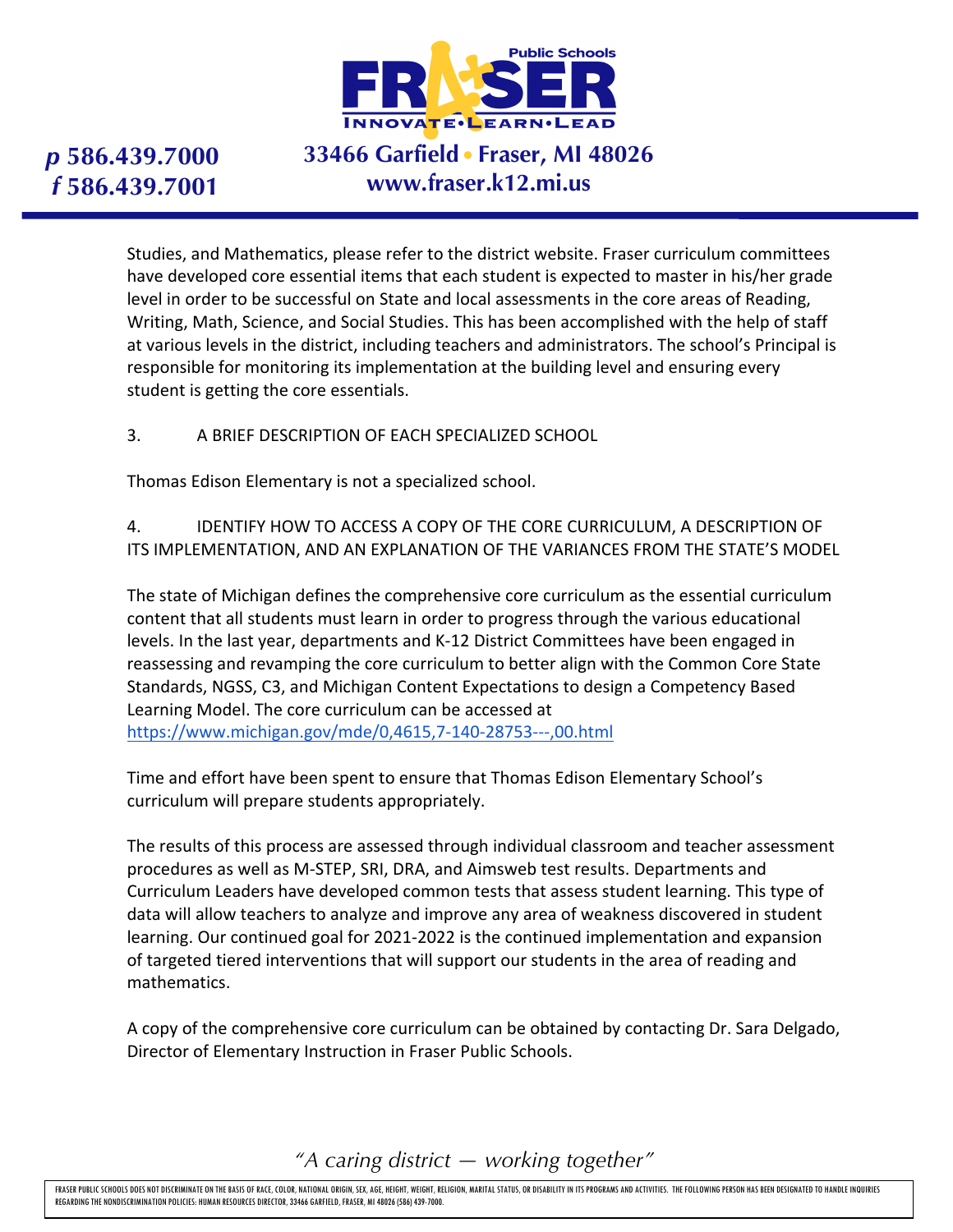

# **33466 Garfield Fraser, MI 48026 www.fraser.k12.mi.us**

Studies, and Mathematics, please refer to the district website. Fraser curriculum committees have developed core essential items that each student is expected to master in his/her grade level in order to be successful on State and local assessments in the core areas of Reading, Writing, Math, Science, and Social Studies. This has been accomplished with the help of staff at various levels in the district, including teachers and administrators. The school's Principal is responsible for monitoring its implementation at the building level and ensuring every student is getting the core essentials.

3. A BRIEF DESCRIPTION OF EACH SPECIALIZED SCHOOL

Thomas Edison Elementary is not a specialized school.

4. IDENTIFY HOW TO ACCESS A COPY OF THE CORE CURRICULUM, A DESCRIPTION OF ITS IMPLEMENTATION, AND AN EXPLANATION OF THE VARIANCES FROM THE STATE'S MODEL

The state of Michigan defines the comprehensive core curriculum as the essential curriculum content that all students must learn in order to progress through the various educational levels. In the last year, departments and K-12 District Committees have been engaged in reassessing and revamping the core curriculum to better align with the Common Core State Standards, NGSS, C3, and Michigan Content Expectations to design a Competency Based Learning Model. The core curriculum can be accessed at https://www.michigan.gov/mde/0,4615,7-140-28753---,00.html

Time and effort have been spent to ensure that Thomas Edison Elementary School's curriculum will prepare students appropriately.

The results of this process are assessed through individual classroom and teacher assessment procedures as well as M-STEP, SRI, DRA, and Aimsweb test results. Departments and Curriculum Leaders have developed common tests that assess student learning. This type of data will allow teachers to analyze and improve any area of weakness discovered in student learning. Our continued goal for 2021-2022 is the continued implementation and expansion of targeted tiered interventions that will support our students in the area of reading and mathematics.

A copy of the comprehensive core curriculum can be obtained by contacting Dr. Sara Delgado, Director of Elementary Instruction in Fraser Public Schools.

*"A caring district — working together"*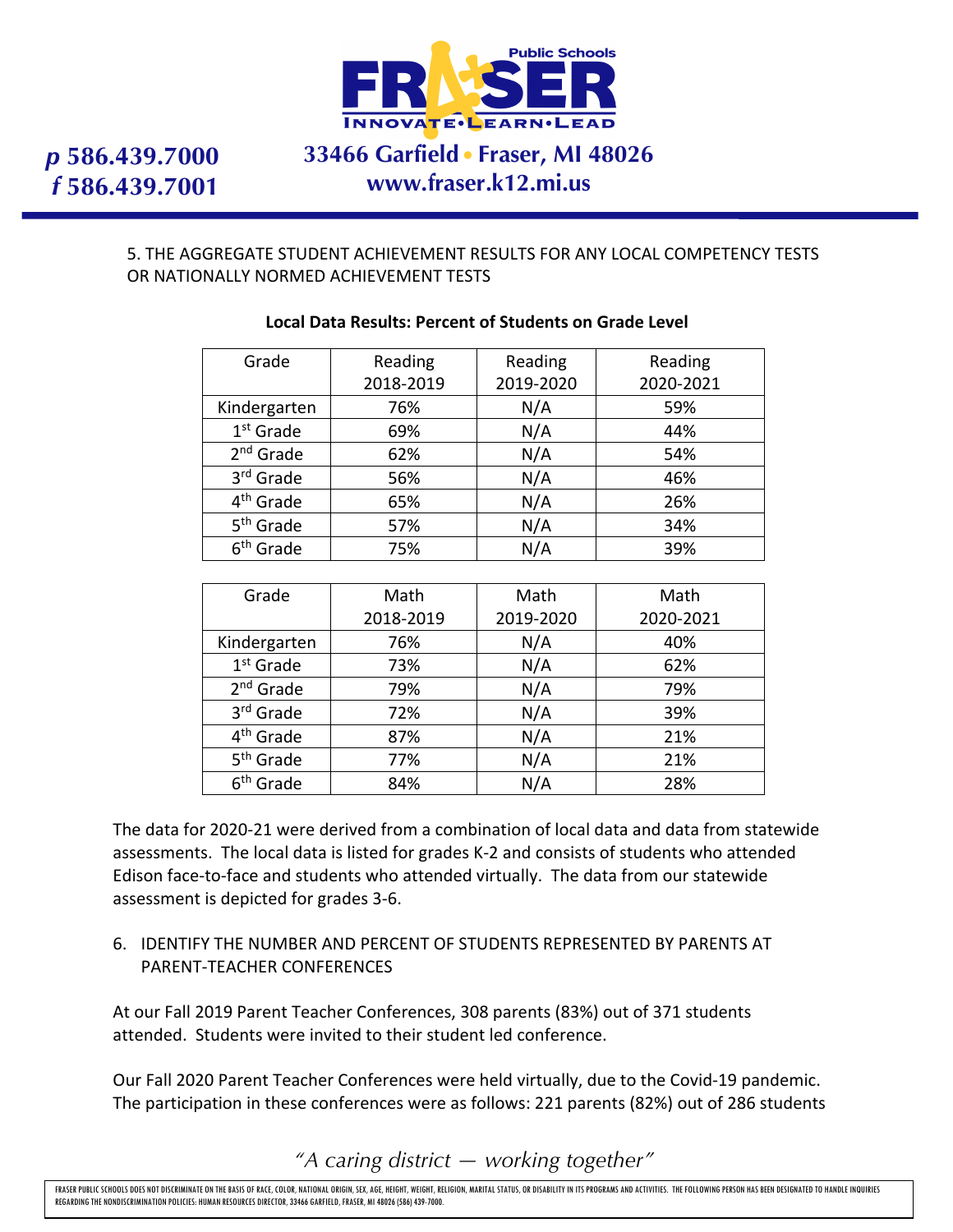

# **33466 Garfield Fraser, MI 48026 www.fraser.k12.mi.us**

#### 5. THE AGGREGATE STUDENT ACHIEVEMENT RESULTS FOR ANY LOCAL COMPETENCY TESTS OR NATIONALLY NORMED ACHIEVEMENT TESTS

| Grade                 | Reading   | Reading   | Reading   |
|-----------------------|-----------|-----------|-----------|
|                       | 2018-2019 | 2019-2020 | 2020-2021 |
| Kindergarten          | 76%       | N/A       | 59%       |
| $1st$ Grade           | 69%       | N/A       | 44%       |
| 2 <sup>nd</sup> Grade | 62%       | N/A       | 54%       |
| 3rd Grade             | 56%       | N/A       | 46%       |
| 4 <sup>th</sup> Grade | 65%       | N/A       | 26%       |
| 5 <sup>th</sup> Grade | 57%       | N/A       | 34%       |
| 6 <sup>th</sup> Grade | 75%       | N/A       | 39%       |

#### **Local Data Results: Percent of Students on Grade Level**

| Grade                 | Math      | Math      | Math      |
|-----------------------|-----------|-----------|-----------|
|                       | 2018-2019 | 2019-2020 | 2020-2021 |
| Kindergarten          | 76%       | N/A       | 40%       |
| $1st$ Grade           | 73%       | N/A       | 62%       |
| $2nd$ Grade           | 79%       | N/A       | 79%       |
| 3rd Grade             | 72%       | N/A       | 39%       |
| 4 <sup>th</sup> Grade | 87%       | N/A       | 21%       |
| 5 <sup>th</sup> Grade | 77%       | N/A       | 21%       |
| 6 <sup>th</sup> Grade | 84%       | N/A       | 28%       |

The data for 2020-21 were derived from a combination of local data and data from statewide assessments. The local data is listed for grades K-2 and consists of students who attended Edison face-to-face and students who attended virtually. The data from our statewide assessment is depicted for grades 3-6.

### 6. IDENTIFY THE NUMBER AND PERCENT OF STUDENTS REPRESENTED BY PARENTS AT PARENT-TEACHER CONFERENCES

At our Fall 2019 Parent Teacher Conferences, 308 parents (83%) out of 371 students attended. Students were invited to their student led conference.

Our Fall 2020 Parent Teacher Conferences were held virtually, due to the Covid-19 pandemic. The participation in these conferences were as follows: 221 parents (82%) out of 286 students

*"A caring district — working together"*